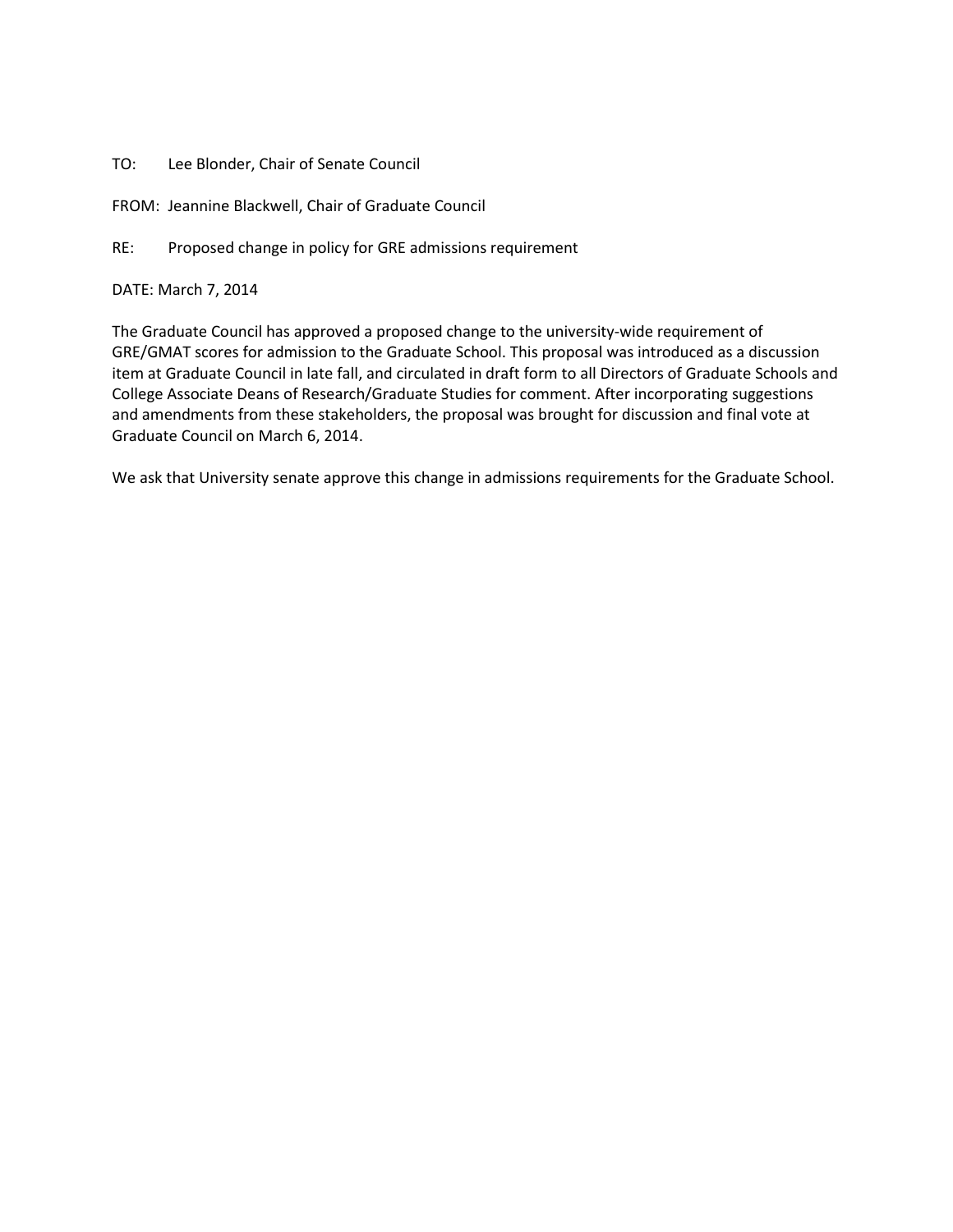## TO: Lee Blonder, Chair of Senate Council

FROM: Jeannine Blackwell, Chair of Graduate Council

RE: Proposed change in policy for GRE admissions requirement

## DATE: March 7, 2014

The Graduate Council has approved a proposed change to the university-wide requirement of GRE/GMAT scores for admission to the Graduate School. This proposal was introduced as a discussion item at Graduate Council in late fall, and circulated in draft form to all Directors of Graduate Schools and College Associate Deans of Research/Graduate Studies for comment. After incorporating suggestions and amendments from these stakeholders, the proposal was brought for discussion and final vote at Graduate Council on March 6, 2014.

We ask that University senate approve this change in admissions requirements for the Graduate School.